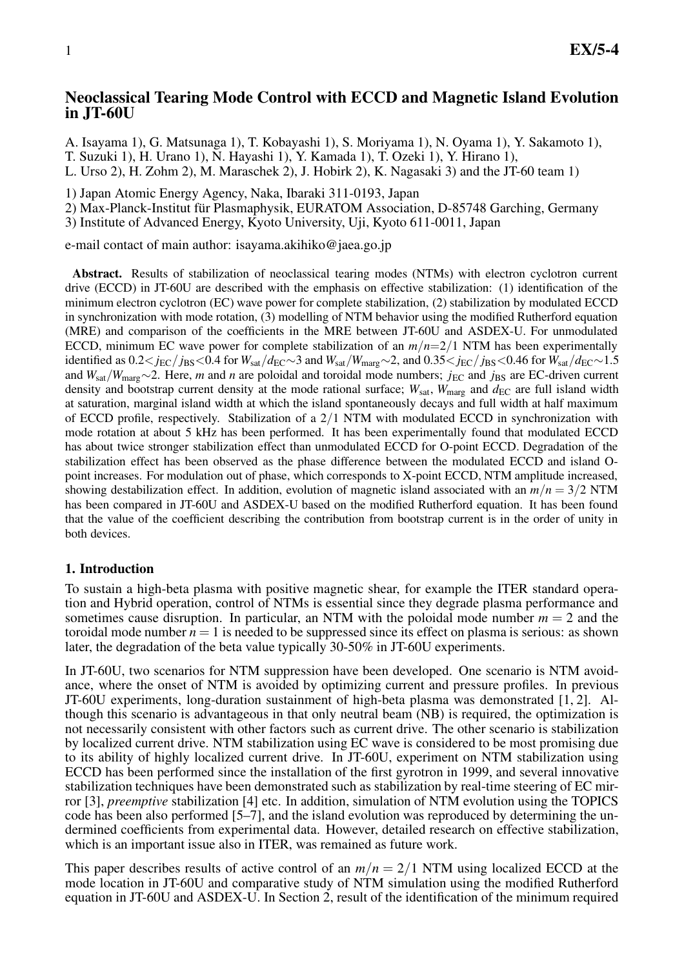# **Neoclassical Tearing Mode Control with ECCD and Magnetic Island Evolution in JT-60U**

A. Isayama 1), G. Matsunaga 1), T. Kobayashi 1), S. Moriyama 1), N. Oyama 1), Y. Sakamoto 1), T. Suzuki 1), H. Urano 1), N. Hayashi 1), Y. Kamada 1), T. Ozeki 1), Y. Hirano 1), L. Urso 2), H. Zohm 2), M. Maraschek 2), J. Hobirk 2), K. Nagasaki 3) and the JT-60 team 1)

1) Japan Atomic Energy Agency, Naka, Ibaraki 311-0193, Japan

2) Max-Planck-Institut für Plasmaphysik, EURATOM Association, D-85748 Garching, Germany

3) Institute of Advanced Energy, Kyoto University, Uji, Kyoto 611-0011, Japan

e-mail contact of main author: isayama.akihiko@jaea.go.jp

**Abstract.** Results of stabilization of neoclassical tearing modes (NTMs) with electron cyclotron current drive (ECCD) in JT-60U are described with the emphasis on effective stabilization: (1) identification of the minimum electron cyclotron (EC) wave power for complete stabilization, (2) stabilization by modulated ECCD in synchronization with mode rotation, (3) modelling of NTM behavior using the modified Rutherford equation (MRE) and comparison of the coefficients in the MRE between JT-60U and ASDEX-U. For unmodulated ECCD, minimum EC wave power for complete stabilization of an *m*/*n*=2/1 NTM has been experimentally identified as  $0.2 < j_{EC}/j_{BS} < 0.4$  for  $W_{sat}/d_{EC} \sim 3$  and  $W_{sat}/W_{\text{marg}} \sim 2$ , and  $0.35 < j_{EC}/j_{BS} < 0.46$  for  $W_{sat}/d_{EC} \sim 1.5$ and *W*<sub>sat</sub>/*W*<sub>marg</sub>∼2. Here, *m* and *n* are poloidal and toroidal mode numbers; *j*<sub>EC</sub> and *j*<sub>BS</sub> are EC-driven current density and bootstrap current density at the mode rational surface;  $W_{\text{sat}}$ ,  $W_{\text{marg}}$  and  $d_{\text{EC}}$  are full island width at saturation, marginal island width at which the island spontaneously decays and full width at half maximum of ECCD profile, respectively. Stabilization of a 2/1 NTM with modulated ECCD in synchronization with mode rotation at about 5 kHz has been performed. It has been experimentally found that modulated ECCD has about twice stronger stabilization effect than unmodulated ECCD for O-point ECCD. Degradation of the stabilization effect has been observed as the phase difference between the modulated ECCD and island Opoint increases. For modulation out of phase, which corresponds to X-point ECCD, NTM amplitude increased, showing destabilization effect. In addition, evolution of magnetic island associated with an  $m/n = 3/2$  NTM has been compared in JT-60U and ASDEX-U based on the modified Rutherford equation. It has been found that the value of the coefficient describing the contribution from bootstrap current is in the order of unity in both devices.

#### **1. Introduction**

To sustain a high-beta plasma with positive magnetic shear, for example the ITER standard operation and Hybrid operation, control of NTMs is essential since they degrade plasma performance and sometimes cause disruption. In particular, an NTM with the poloidal mode number  $m = 2$  and the toroidal mode number  $n = 1$  is needed to be suppressed since its effect on plasma is serious: as shown later, the degradation of the beta value typically 30-50% in JT-60U experiments.

In JT-60U, two scenarios for NTM suppression have been developed. One scenario is NTM avoidance, where the onset of NTM is avoided by optimizing current and pressure profiles. In previous JT-60U experiments, long-duration sustainment of high-beta plasma was demonstrated [1, 2]. Although this scenario is advantageous in that only neutral beam (NB) is required, the optimization is not necessarily consistent with other factors such as current drive. The other scenario is stabilization by localized current drive. NTM stabilization using EC wave is considered to be most promising due to its ability of highly localized current drive. In JT-60U, experiment on NTM stabilization using ECCD has been performed since the installation of the first gyrotron in 1999, and several innovative stabilization techniques have been demonstrated such as stabilization by real-time steering of EC mirror [3], *preemptive* stabilization [4] etc. In addition, simulation of NTM evolution using the TOPICS code has been also performed [5–7], and the island evolution was reproduced by determining the undermined coefficients from experimental data. However, detailed research on effective stabilization, which is an important issue also in ITER, was remained as future work.

This paper describes results of active control of an  $m/n = 2/1$  NTM using localized ECCD at the mode location in JT-60U and comparative study of NTM simulation using the modified Rutherford equation in JT-60U and ASDEX-U. In Section 2, result of the identification of the minimum required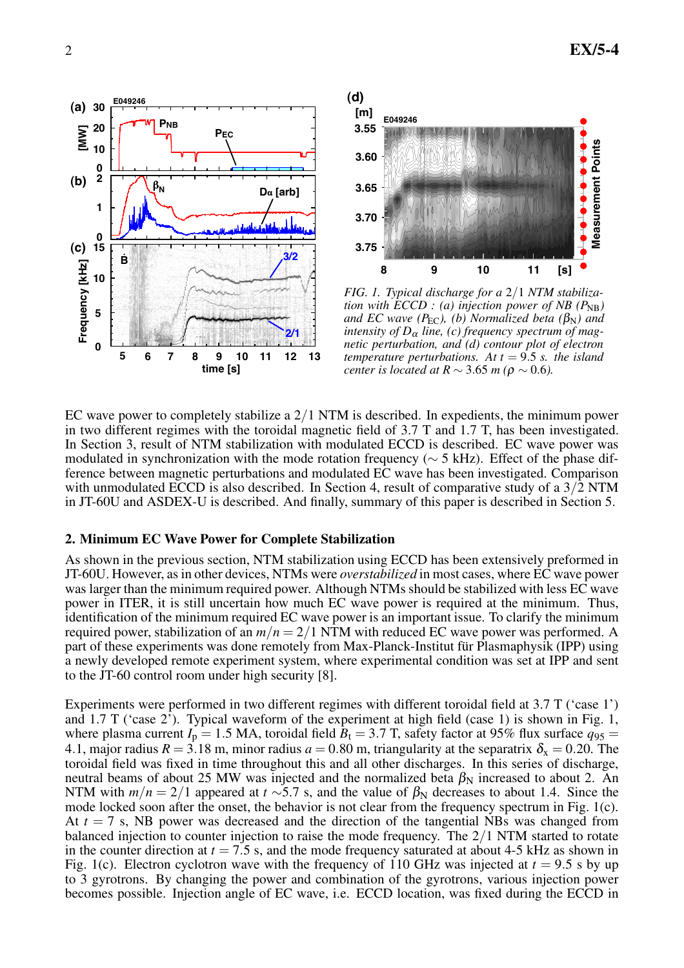



*FIG. 1. Typical discharge for a* 2/1 *NTM stabilization* with  $\text{ECCD}: (a)$  injection power of NB  $(P_{NB})$ *and EC wave* ( $P_{\text{EC}}$ *), (b) Normalized beta* ( $\beta_{\text{N}}$ *) and intensity of*  $D_{\alpha}$  *line, (c) frequency spectrum of magnetic perturbation, and (d) contour plot of electron temperature perturbations.* At  $t = 9.5$  *s. the island center is located at*  $R \sim 3.65$  *m* ( $\rho \sim 0.6$ ).

EC wave power to completely stabilize a 2/1 NTM is described. In expedients, the minimum power in two different regimes with the toroidal magnetic field of 3.7 T and 1.7 T, has been investigated. In Section 3, result of NTM stabilization with modulated ECCD is described. EC wave power was modulated in synchronization with the mode rotation frequency ( $\sim$  5 kHz). Effect of the phase difference between magnetic perturbations and modulated EC wave has been investigated. Comparison with unmodulated ECCD is also described. In Section 4, result of comparative study of a  $3/2$  NTM in JT-60U and ASDEX-U is described. And finally, summary of this paper is described in Section 5.

## **2. Minimum EC Wave Power for Complete Stabilization**

As shown in the previous section, NTM stabilization using ECCD has been extensively preformed in JT-60U. However, as in other devices, NTMs were *overstabilized* in most cases, where EC wave power was larger than the minimum required power. Although NTMs should be stabilized with less EC wave power in ITER, it is still uncertain how much EC wave power is required at the minimum. Thus, identification of the minimum required EC wave power is an important issue. To clarify the minimum required power, stabilization of an *m*/*n* = 2/1 NTM with reduced EC wave power was performed. A part of these experiments was done remotely from Max-Planck-Institut für Plasmaphysik (IPP) using a newly developed remote experiment system, where experimental condition was set at IPP and sent to the JT-60 control room under high security [8].

Experiments were performed in two different regimes with different toroidal field at 3.7 T ('case 1') and 1.7 T ('case 2'). Typical waveform of the experiment at high field (case 1) is shown in Fig. 1, where plasma current  $I_p = 1.5$  MA, toroidal field  $B_t = 3.7$  T, safety factor at 95% flux surface  $q_{95} =$ 4.1, major radius  $R = 3.18$  m, minor radius  $a = 0.80$  m, triangularity at the separatrix  $\delta_{x} = 0.20$ . The toroidal field was fixed in time throughout this and all other discharges. In this series of discharge, neutral beams of about 25 MW was injected and the normalized beta  $\beta_N$  increased to about 2. An NTM with  $m/n = 2/1$  appeared at  $t \sim 5.7$  s, and the value of  $\beta_{N}$  decreases to about 1.4. Since the mode locked soon after the onset, the behavior is not clear from the frequency spectrum in Fig. 1(c). At  $t = 7$  s, NB power was decreased and the direction of the tangential NBs was changed from balanced injection to counter injection to raise the mode frequency. The 2/1 NTM started to rotate in the counter direction at  $t = 7.5$  s, and the mode frequency saturated at about 4-5 kHz as shown in Fig. 1(c). Electron cyclotron wave with the frequency of 110 GHz was injected at  $t = 9.5$  s by up to 3 gyrotrons. By changing the power and combination of the gyrotrons, various injection power becomes possible. Injection angle of EC wave, i.e. ECCD location, was fixed during the ECCD in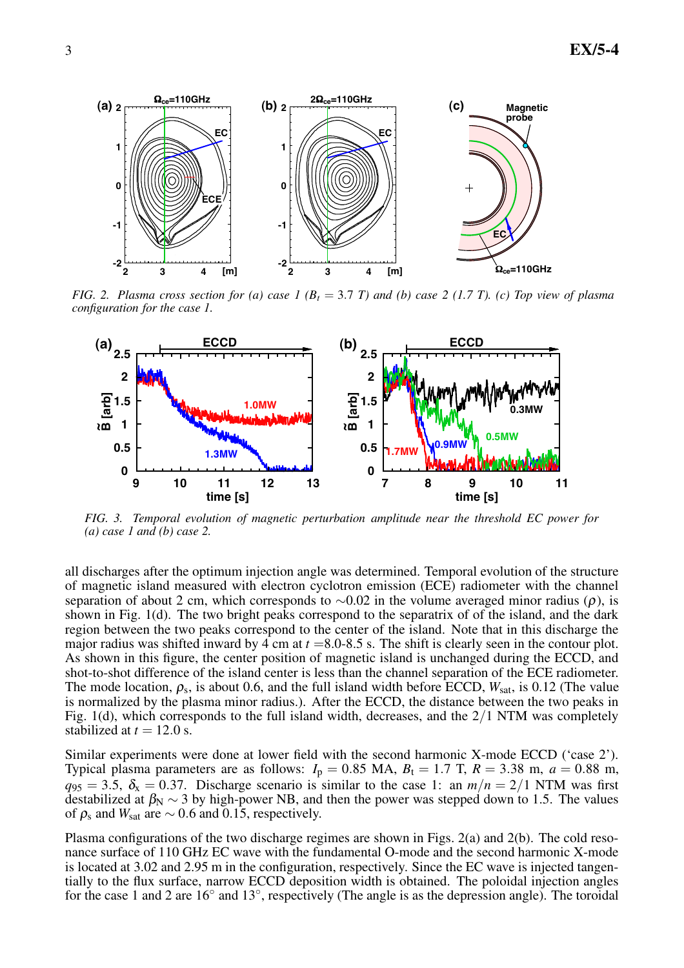

FIG. 2. Plasma cross section for (a) case 1 ( $B_t = 3.7$  T) and (b) case 2 (1.7 T). (c) Top view of plasma *configuration for the case 1.*



*FIG. 3. Temporal evolution of magnetic perturbation amplitude near the threshold EC power for (a) case 1 and (b) case 2.*

all discharges after the optimum injection angle was determined. Temporal evolution of the structure of magnetic island measured with electron cyclotron emission (ECE) radiometer with the channel separation of about 2 cm, which corresponds to  $\sim$ 0.02 in the volume averaged minor radius ( $\rho$ ), is shown in Fig. 1(d). The two bright peaks correspond to the separatrix of of the island, and the dark region between the two peaks correspond to the center of the island. Note that in this discharge the major radius was shifted inward by  $\overline{4}$  cm at  $t = 8.0$ -8.5 s. The shift is clearly seen in the contour plot. As shown in this figure, the center position of magnetic island is unchanged during the ECCD, and shot-to-shot difference of the island center is less than the channel separation of the ECE radiometer. The mode location,  $\rho_s$ , is about 0.6, and the full island width before ECCD,  $W_{\text{sat}}$ , is 0.12 (The value is normalized by the plasma minor radius.). After the ECCD, the distance between the two peaks in Fig. 1(d), which corresponds to the full island width, decreases, and the 2/1 NTM was completely stabilized at  $t = 12.0$  s.

Similar experiments were done at lower field with the second harmonic X-mode ECCD ('case 2'). Typical plasma parameters are as follows:  $I_p = 0.85$  MA,  $B_t = 1.7$  T,  $R = 3.38$  m,  $a = 0.88$  m,  $q_{95} = 3.5$ ,  $\delta_{x} = 0.37$ . Discharge scenario is similar to the case 1: an  $m/n = 2/1$  NTM was first destabilized at  $\beta_N \sim 3$  by high-power NB, and then the power was stepped down to 1.5. The values of  $\rho_s$  and *W*<sub>sat</sub> are  $\sim 0.6$  and 0.15, respectively.

Plasma configurations of the two discharge regimes are shown in Figs. 2(a) and 2(b). The cold resonance surface of 110 GHz EC wave with the fundamental O-mode and the second harmonic X-mode is located at 3.02 and 2.95 m in the configuration, respectively. Since the EC wave is injected tangentially to the flux surface, narrow ECCD deposition width is obtained. The poloidal injection angles for the case 1 and 2 are 16° and 13°, respectively (The angle is as the depression angle). The toroidal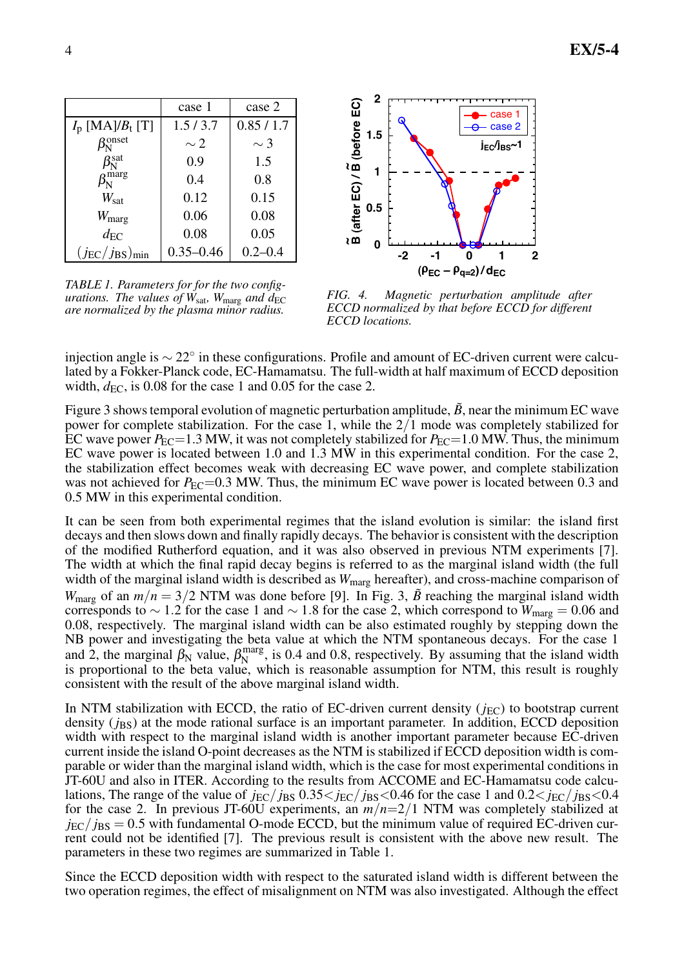|                                              | case 1        | case 2      |
|----------------------------------------------|---------------|-------------|
| $I_{p}$ [MA]/ $B_{t}$ [T]                    | 1.5/3.7       | 0.85/1.7    |
| $\beta_{\rm N}^{\rm onset}$                  | $\sim$ 2      | $\sim$ 3    |
| $\beta_{\rm N}^{\rm sat}$                    | 0.9           | 1.5         |
| $\beta_{\rm N}^{\rm marg}$                   | 0.4           | 0.8         |
| $W_{\text{sat}}$                             | 0.12          | 0.15        |
| $W_{\text{marg}}$                            | 0.06          | 0.08        |
| $d_{\text{EC}}$                              | 0.08          | 0.05        |
| $(j_{\text{EC}}/j_{\text{BS}})_{\text{min}}$ | $0.35 - 0.46$ | $0.2 - 0.4$ |

*TABLE 1. Parameters for for the two configurations. The values of*  $W_{\text{sat}}$ *,*  $W_{\text{marg}}$  *and*  $d_{\text{EC}}$ *are normalized by the plasma minor radius.*



*FIG. 4. Magnetic perturbation amplitude after ECCD normalized by that before ECCD for different ECCD locations.*

injection angle is  $\sim 22^{\circ}$  in these configurations. Profile and amount of EC-driven current were calculated by a Fokker-Planck code, EC-Hamamatsu. The full-width at half maximum of ECCD deposition width,  $d_{EC}$ , is 0.08 for the case 1 and 0.05 for the case 2.

Figure 3 shows temporal evolution of magnetic perturbation amplitude,  $\tilde{B}$ , near the minimum EC wave power for complete stabilization. For the case 1, while the  $2/1$  mode was completely stabilized for EC wave power  $P_{EC}$ =1.3 MW, it was not completely stabilized for  $P_{EC}$ =1.0 MW. Thus, the minimum EC wave power is located between 1.0 and 1.3 MW in this experimental condition. For the case 2, the stabilization effect becomes weak with decreasing EC wave power, and complete stabilization was not achieved for  $P_{EC}$ =0.3 MW. Thus, the minimum EC wave power is located between 0.3 and 0.5 MW in this experimental condition.

It can be seen from both experimental regimes that the island evolution is similar: the island first decays and then slows down and finally rapidly decays. The behavior is consistent with the description of the modified Rutherford equation, and it was also observed in previous NTM experiments [7]. The width at which the final rapid decay begins is referred to as the marginal island width (the full width of the marginal island width is described as  $W_{\text{marg}}$  hereafter), and cross-machine comparison of  $W_{\text{marg}}$  of an  $m/n = 3/2$  NTM was done before [9]. In Fig. 3,  $\tilde{B}$  reaching the marginal island width corresponds to ~ 1.2 for the case 1 and ~ 1.8 for the case 2, which correspond to  $W_{\text{marg}} = 0.06$  and 0.08, respectively. The marginal island width can be also estimated roughly by stepping down the NB power and investigating the beta value at which the NTM spontaneous decays. For the case 1 and 2, the marginal  $\beta_{\rm N}$  value,  $\beta_{\rm N}^{\rm marg}$  $N<sub>N</sub>$  is 0.4 and 0.8, respectively. By assuming that the island width is proportional to the beta value, which is reasonable assumption for NTM, this result is roughly consistent with the result of the above marginal island width.

In NTM stabilization with ECCD, the ratio of EC-driven current density  $(j_{\text{EC}})$  to bootstrap current density  $(j_{\text{BS}})$  at the mode rational surface is an important parameter. In addition, ECCD deposition width with respect to the marginal island width is another important parameter because EC-driven current inside the island O-point decreases as the NTM is stabilized if ECCD deposition width is comparable or wider than the marginal island width, which is the case for most experimental conditions in JT-60U and also in ITER. According to the results from ACCOME and EC-Hamamatsu code calculations, The range of the value of  $j_{EC}/j_{BS}$  0.35 $\lt j_{EC}/j_{BS}$  < 0.46 for the case 1 and 0.2 $\lt j_{EC}/j_{BS}$  < 0.4 for the case 2. In previous JT-60U experiments, an *m*/*n*=2/1 NTM was completely stabilized at  $j_{\text{EC}}/j_{\text{BS}} = 0.5$  with fundamental O-mode ECCD, but the minimum value of required EC-driven current could not be identified [7]. The previous result is consistent with the above new result. The parameters in these two regimes are summarized in Table 1.

Since the ECCD deposition width with respect to the saturated island width is different between the two operation regimes, the effect of misalignment on NTM was also investigated. Although the effect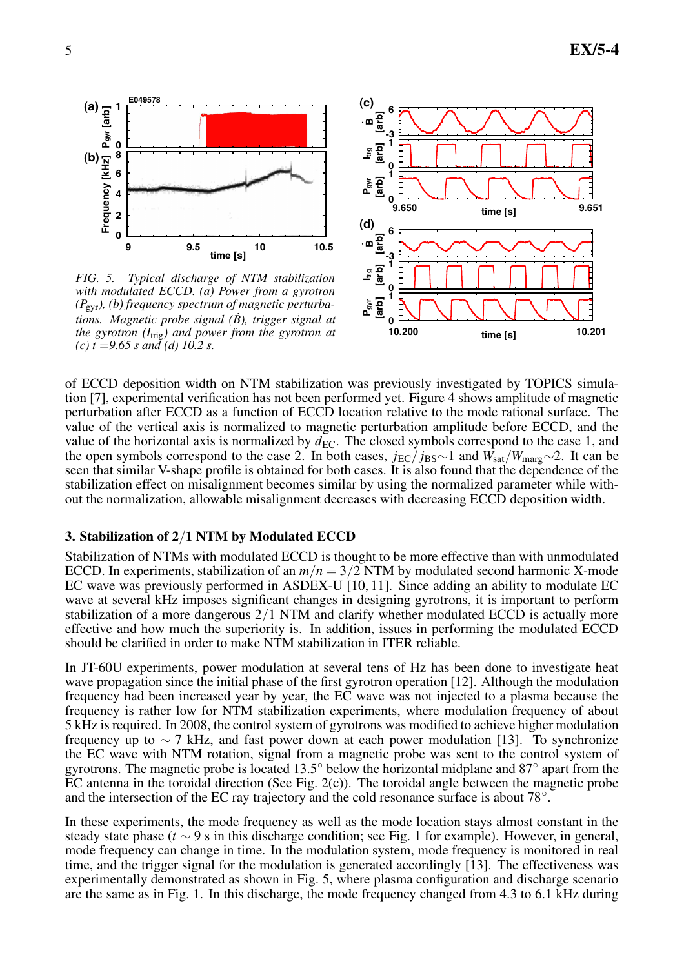

*FIG. 5. Typical discharge of NTM stabilization with modulated ECCD. (a) Power from a gyrotron (P*gyr*), (b) frequency spectrum of magnetic perturbations. Magnetic probe signal (B*˙*), trigger signal at the gyrotron*  $(I_{\text{trig}})$  *and power from the gyrotron at (c) t* =*9.65 s and (d) 10.2 s.*



of ECCD deposition width on NTM stabilization was previously investigated by TOPICS simulation [7], experimental verification has not been performed yet. Figure 4 shows amplitude of magnetic perturbation after ECCD as a function of ECCD location relative to the mode rational surface. The value of the vertical axis is normalized to magnetic perturbation amplitude before ECCD, and the value of the horizontal axis is normalized by  $d_{EC}$ . The closed symbols correspond to the case 1, and the open symbols correspond to the case 2. In both cases, *j*EC/ *j*BS∼1 and *W*sat/*W*marg∼2. It can be seen that similar V-shape profile is obtained for both cases. It is also found that the dependence of the stabilization effect on misalignment becomes similar by using the normalized parameter while without the normalization, allowable misalignment decreases with decreasing ECCD deposition width.

## **3. Stabilization of 2**/**1 NTM by Modulated ECCD**

Stabilization of NTMs with modulated ECCD is thought to be more effective than with unmodulated ECCD. In experiments, stabilization of an  $m/n = 3/2$  NTM by modulated second harmonic X-mode EC wave was previously performed in ASDEX-U [10, 11]. Since adding an ability to modulate EC wave at several kHz imposes significant changes in designing gyrotrons, it is important to perform stabilization of a more dangerous 2/1 NTM and clarify whether modulated ECCD is actually more effective and how much the superiority is. In addition, issues in performing the modulated ECCD should be clarified in order to make NTM stabilization in ITER reliable.

In JT-60U experiments, power modulation at several tens of Hz has been done to investigate heat wave propagation since the initial phase of the first gyrotron operation [12]. Although the modulation frequency had been increased year by year, the EC wave was not injected to a plasma because the frequency is rather low for NTM stabilization experiments, where modulation frequency of about 5 kHz is required. In 2008, the control system of gyrotrons was modified to achieve higher modulation frequency up to  $\sim$  7 kHz, and fast power down at each power modulation [13]. To synchronize the EC wave with NTM rotation, signal from a magnetic probe was sent to the control system of gyrotrons. The magnetic probe is located 13.5<sup>°</sup> below the horizontal midplane and 87<sup>°</sup> apart from the EC antenna in the toroidal direction (See Fig. 2(c)). The toroidal angle between the magnetic probe and the intersection of the EC ray trajectory and the cold resonance surface is about  $78^\circ$ .

In these experiments, the mode frequency as well as the mode location stays almost constant in the steady state phase (*t* ∼ 9 s in this discharge condition; see Fig. 1 for example). However, in general, mode frequency can change in time. In the modulation system, mode frequency is monitored in real time, and the trigger signal for the modulation is generated accordingly [13]. The effectiveness was experimentally demonstrated as shown in Fig. 5, where plasma configuration and discharge scenario are the same as in Fig. 1. In this discharge, the mode frequency changed from 4.3 to 6.1 kHz during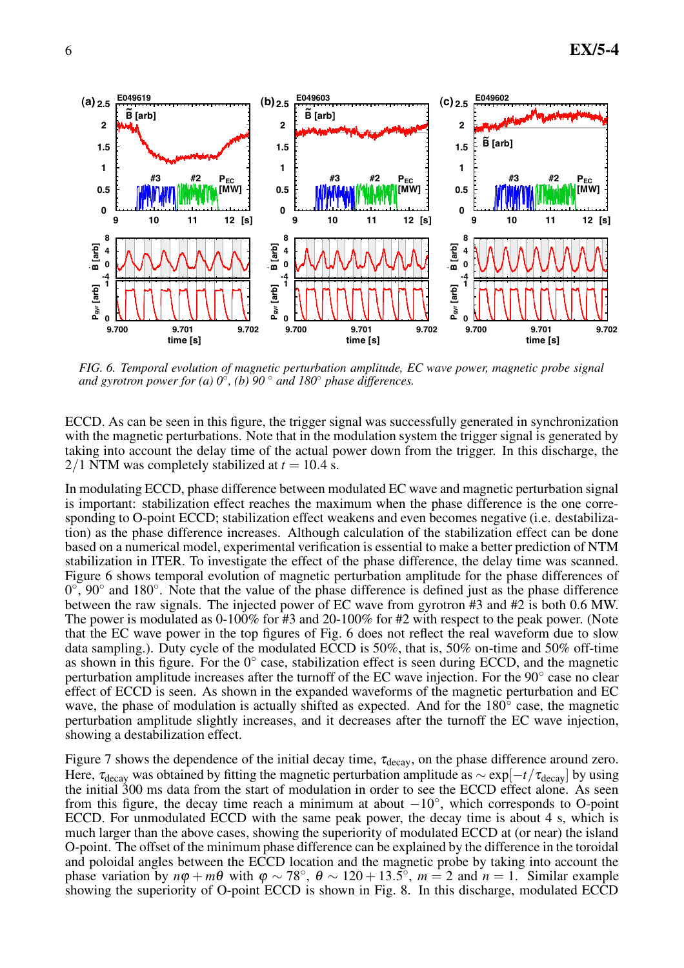

*FIG. 6. Temporal evolution of magnetic perturbation amplitude, EC wave power, magnetic probe signal and gyrotron power for (a) 0* ◦ *, (b) 90* ◦ *and 180*◦ *phase differences.*

ECCD. As can be seen in this figure, the trigger signal was successfully generated in synchronization with the magnetic perturbations. Note that in the modulation system the trigger signal is generated by taking into account the delay time of the actual power down from the trigger. In this discharge, the  $2/1$  NTM was completely stabilized at  $t = 10.4$  s.

In modulating ECCD, phase difference between modulated EC wave and magnetic perturbation signal is important: stabilization effect reaches the maximum when the phase difference is the one corresponding to O-point ECCD; stabilization effect weakens and even becomes negative (i.e. destabilization) as the phase difference increases. Although calculation of the stabilization effect can be done based on a numerical model, experimental verification is essential to make a better prediction of NTM stabilization in ITER. To investigate the effect of the phase difference, the delay time was scanned. Figure 6 shows temporal evolution of magnetic perturbation amplitude for the phase differences of  $0^\circ$ ,  $90^\circ$  and  $180^\circ$ . Note that the value of the phase difference is defined just as the phase difference between the raw signals. The injected power of EC wave from gyrotron #3 and #2 is both 0.6 MW. The power is modulated as 0-100% for #3 and 20-100% for #2 with respect to the peak power. (Note that the EC wave power in the top figures of Fig. 6 does not reflect the real waveform due to slow data sampling.). Duty cycle of the modulated ECCD is 50%, that is, 50% on-time and 50% off-time as shown in this figure. For the  $0^{\circ}$  case, stabilization effect is seen during ECCD, and the magnetic perturbation amplitude increases after the turnoff of the EC wave injection. For the 90° case no clear effect of ECCD is seen. As shown in the expanded waveforms of the magnetic perturbation and EC wave, the phase of modulation is actually shifted as expected. And for the 180<sup>°</sup> case, the magnetic perturbation amplitude slightly increases, and it decreases after the turnoff the EC wave injection, showing a destabilization effect.

Figure 7 shows the dependence of the initial decay time,  $\tau_{\text{decay}}$ , on the phase difference around zero. Here,  $\tau_{\text{decay}}$  was obtained by fitting the magnetic perturbation amplitude as  $\sim \exp[-t/\tau_{\text{decay}}]$  by using the initial 300 ms data from the start of modulation in order to see the ECCD effect alone. As seen from this figure, the decay time reach a minimum at about −10◦ , which corresponds to O-point ECCD. For unmodulated ECCD with the same peak power, the decay time is about 4 s, which is much larger than the above cases, showing the superiority of modulated ECCD at (or near) the island O-point. The offset of the minimum phase difference can be explained by the difference in the toroidal and poloidal angles between the ECCD location and the magnetic probe by taking into account the phase variation by  $n\phi + m\theta$  with  $\phi \sim 78^\circ$ ,  $\theta \sim 120 + 13.5^\circ$ ,  $m = 2$  and  $n = 1$ . Similar example showing the superiority of O-point ECCD is shown in Fig. 8. In this discharge, modulated ECCD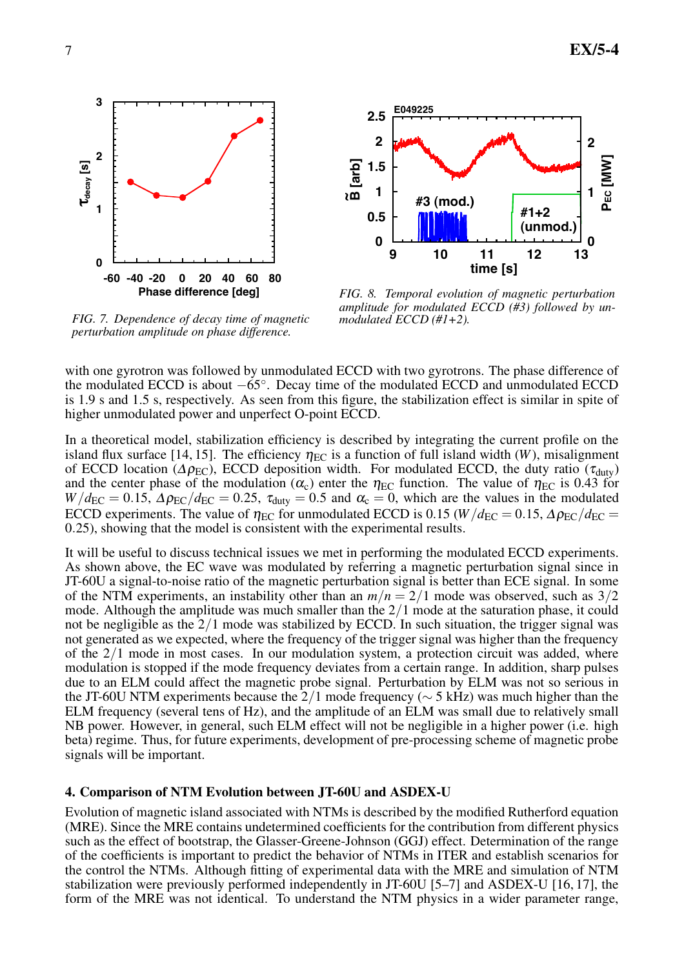**0 1 2 3 -60 -40 -20 0 20 40 60 80 Phase difference [deg]** τ**decay [s]**



*FIG. 8. Temporal evolution of magnetic perturbation amplitude for modulated ECCD (#3) followed by unmodulated ECCD (#1+2).*

*FIG. 7. Dependence of decay time of magnetic perturbation amplitude on phase difference.*

with one gyrotron was followed by unmodulated ECCD with two gyrotrons. The phase difference of the modulated ECCD is about −65◦ . Decay time of the modulated ECCD and unmodulated ECCD is 1.9 s and 1.5 s, respectively. As seen from this figure, the stabilization effect is similar in spite of higher unmodulated power and unperfect O-point ECCD.

In a theoretical model, stabilization efficiency is described by integrating the current profile on the island flux surface [14, 15]. The efficiency  $\eta_{EC}$  is a function of full island width (*W*), misalignment of ECCD location ( $\Delta \rho_{EC}$ ), ECCD deposition width. For modulated ECCD, the duty ratio ( $\tau_{\text{duty}}$ ) and the center phase of the modulation ( $\alpha_c$ ) enter the  $\eta_{EC}$  function. The value of  $\eta_{EC}$  is 0.43 for  $W/d_{\text{EC}} = 0.15$ ,  $\Delta \rho_{\text{EC}}/d_{\text{EC}} = 0.25$ ,  $\tau_{\text{duty}} = 0.5$  and  $\alpha_c = 0$ , which are the values in the modulated ECCD experiments. The value of  $\eta_{EC}$  for unmodulated ECCD is 0.15 (*W*/ $d_{EC} = 0.15$ ,  $\Delta \rho_{EC}/d_{EC} =$ 0.25), showing that the model is consistent with the experimental results.

It will be useful to discuss technical issues we met in performing the modulated ECCD experiments. As shown above, the EC wave was modulated by referring a magnetic perturbation signal since in JT-60U a signal-to-noise ratio of the magnetic perturbation signal is better than ECE signal. In some of the NTM experiments, an instability other than an  $m/n = 2/1$  mode was observed, such as  $3/2$ mode. Although the amplitude was much smaller than the 2/1 mode at the saturation phase, it could not be negligible as the  $2/1$  mode was stabilized by ECCD. In such situation, the trigger signal was not generated as we expected, where the frequency of the trigger signal was higher than the frequency of the  $2/1$  mode in most cases. In our modulation system, a protection circuit was added, where modulation is stopped if the mode frequency deviates from a certain range. In addition, sharp pulses due to an ELM could affect the magnetic probe signal. Perturbation by ELM was not so serious in the JT-60U NTM experiments because the 2/1 mode frequency (∼ 5 kHz) was much higher than the ELM frequency (several tens of Hz), and the amplitude of an ELM was small due to relatively small NB power. However, in general, such ELM effect will not be negligible in a higher power (i.e. high beta) regime. Thus, for future experiments, development of pre-processing scheme of magnetic probe signals will be important.

## **4. Comparison of NTM Evolution between JT-60U and ASDEX-U**

Evolution of magnetic island associated with NTMs is described by the modified Rutherford equation (MRE). Since the MRE contains undetermined coefficients for the contribution from different physics such as the effect of bootstrap, the Glasser-Greene-Johnson (GGJ) effect. Determination of the range of the coefficients is important to predict the behavior of NTMs in ITER and establish scenarios for the control the NTMs. Although fitting of experimental data with the MRE and simulation of NTM stabilization were previously performed independently in JT-60U [5–7] and ASDEX-U [16, 17], the form of the MRE was not identical. To understand the NTM physics in a wider parameter range,